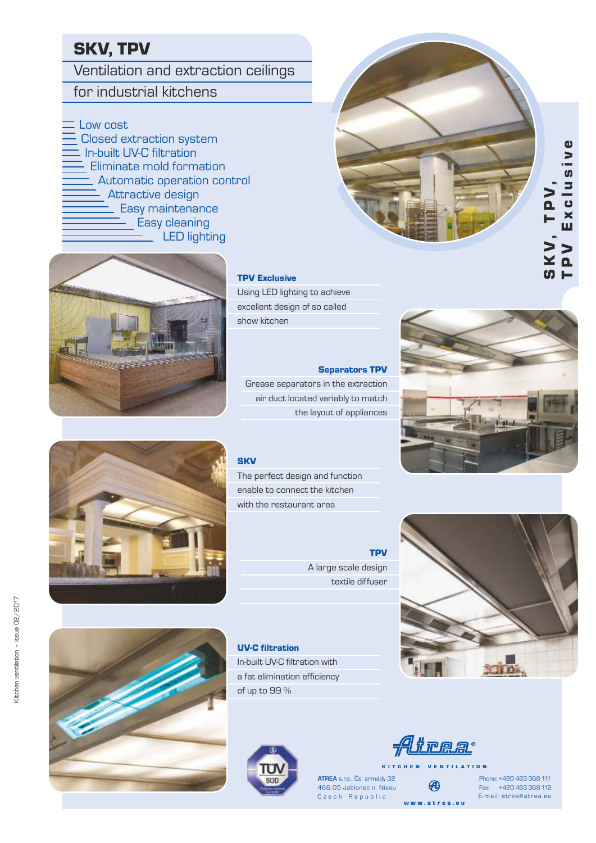# SKV, TPV

Ventilation and extraction ceilings

# for industrial kitchens

Low cost

Closed extraction system In-built UV-C filtration Eliminate mold formation Automatic operation control Attractive design Easy maintenance Easy cleaning LED lighting



**TPV Exclusive** 

Using LED lighting to achieve excellent design of so called show kitchen

# Separators TPV

Grease separators in the extraction air duct located variably to match the layout of appliances

The perfect design and function enable to connect the kitchen with the restaurant area







Kitchen ventilation – issue 02/2017

Kitchen ventilation - issue 02/2017

# UV-C filtration

In-built UV-C filtration with a fat elimination efficiency of up to 99 %



K I T C H E N V E N T I L A T I O N Czech Republic **ATREA** s.r.o., Čs. armády 32 466 05 Jablonec n. Nisou

**TPV** 

w w w . a t r e a . e u

Atrea

Fax: +420 483 368 112 Phone: +420 483 368 111 E-mail: atrea@atrea.eu





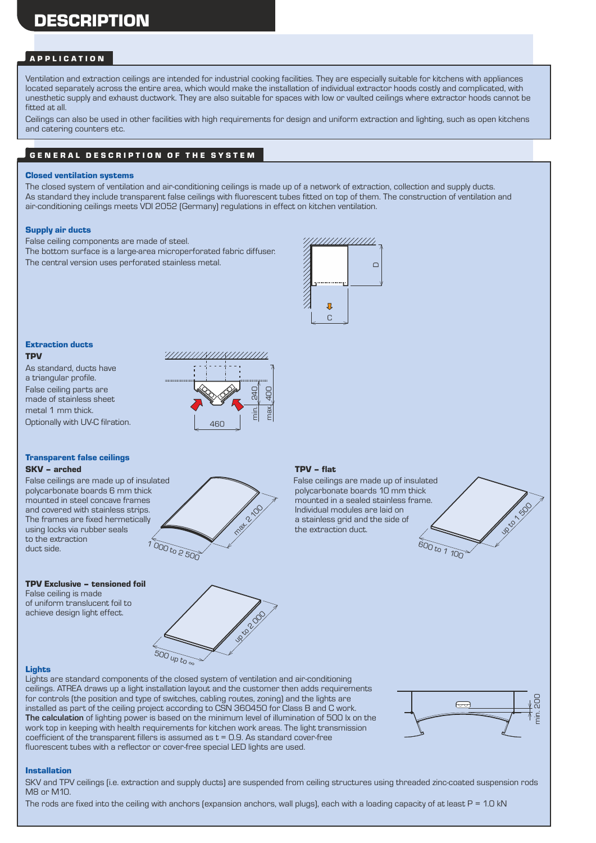# DESCRIPTION

### A P P L I C A T I O N

Ventilation and extraction ceilings are intended for industrial cooking facilities. They are especially suitable for kitchens with appliances located separately across the entire area, which would make the installation of individual extractor hoods costly and complicated, with unesthetic supply and exhaust ductwork. They are also suitable for spaces with low or vaulted ceilings where extractor hoods cannot be fitted at all.

Ceilings can also be used in other facilities with high requirements for design and uniform extraction and lighting, such as open kitchens and catering counters etc.

## GENERAL DESCRIPTION OF THE SYSTEM

#### Closed ventilation systems

The closed system of ventilation and air-conditioning ceilings is made up of a network of extraction, collection and supply ducts. As standard they include transparent false ceilings with fluorescent tubes fitted on top of them. The construction of ventilation and air-conditioning ceilings meets VDI 2052 (Germany) regulations in effect on kitchen ventilation.

#### Supply air ducts

False ceiling components are made of steel. The bottom surface is a large-area microperforated fabric diffuser. The central version uses perforated stainless metal.



#### Extraction ducts **TPV**

As standard, ducts have a triangular profile. False ceiling parts are made of stainless sheet metal 1 mm thick. Optionally with UV-C filration.



#### Transparent false ceilings SKV – arched TPV – flat

polycarbonate boards 6 mm thick<br>mounted in steel concave frames and covered with stainless strips.<br>
The frames are fixed hermetically  $\overbrace{\phantom{a}}^{a}$  a stainless grid and the side of The frames are fixed hermetically  $\sim$  a stainless grid and using locks via rubber seals the extraction duct. using locks via rubber seals to the extraction duct side.

# TPV Exclusive – tensioned foil

False ceiling is made of uniform translucent foil to achieve design light effect.



False ceilings are made up of insulated<br>
False ceilings are made up of insulated<br>
polycarbonate boards 10 mm thick<br>
polycarbonate boards 10 mm thick mounted in a sealed stainless frame.<br>Individual modules are laid on





#### Lights

Lights are standard components of the closed system of ventilation and air-conditioning ceilings. ATREA draws up a light installation layout and the customer then adds requirements for controls (the position and type of switches, cabling routes, zoning) and the lights are installed as part of the ceiling project according to CSN 360450 for Class B and C work. **The calculation** of lighting power is based on the minimum level of illumination of 500 lx on the work top in keeping with health requirements for kitchen work areas. The light transmission coefficient of the transparent fillers is assumed as  $t = 0.9$ . As standard cover-free fluorescent tubes with a reflector or cover-free special LED lights are used.



### Installation

SKV and TPV ceilings (i.e. extraction and supply ducts) are suspended from ceiling structures using threaded zinc-coated suspension rods M8 or M10.

The rods are fixed into the ceiling with anchors (expansion anchors, wall plugs), each with a loading capacity of at least  $P = 1.0$  kN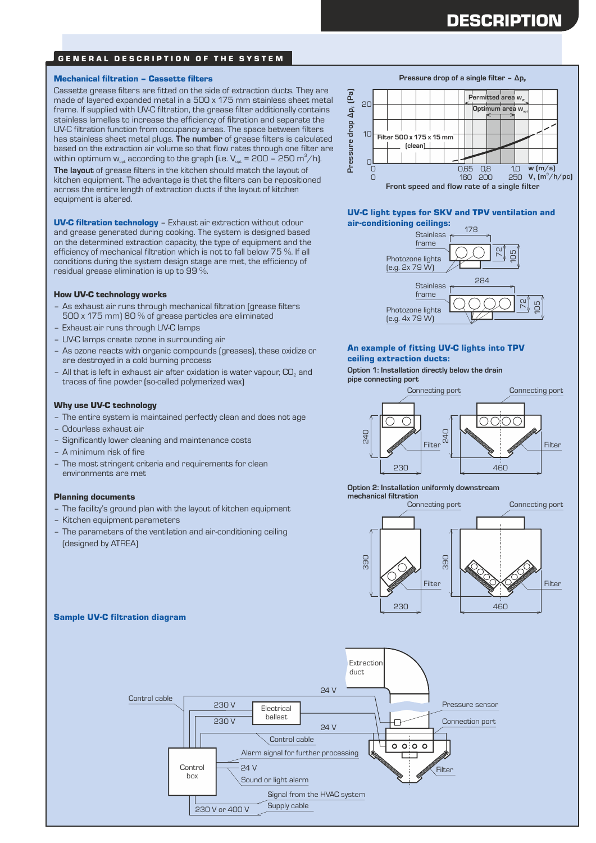# **DESCRIPTION**

## GENERAL DESCRIPTION OF THE SYSTEM

#### Mechanical filtration – Cassette filters

Cassette grease filters are fitted on the side of extraction ducts. They are made of layered expanded metal in a 500 x 175 mm stainless sheet metal frame. If supplied with UV-C filtration, the grease filter additionally contains stainless lamellas to increase the efficiency of filtration and separate the UV-C filtration function from occupancy areas. The space between filters has stainless sheet metal plugs. **The number** of grease filters is calculated based on the extraction air volume so that flow rates through one filter are within optimum  $w_{\text{opt}}$  according to the graph (i.e.  $V_{\text{opt}} = 200 - 250 \text{ m}^3/\text{h}$ ).

**The layout** of grease filters in the kitchen should match the layout of kitchen equipment. The advantage is that the filters can be repositioned across the entire length of extraction ducts if the layout of kitchen equipment is altered.

UV-C filtration technology – Exhaust air extraction without odour and grease generated during cooking. The system is designed based on the determined extraction capacity, the type of equipment and the efficiency of mechanical filtration which is not to fall below 75 %. If all conditions during the system design stage are met, the efficiency of residual grease elimination is up to 99 %.

#### How UV-C technology works

- As exhaust air runs through mechanical filtration (grease filters 500 x 175 mm) 80 % of grease particles are eliminated
- Exhaust air runs through UV-C lamps
- UV-C lamps create ozone in surrounding air
- As ozone reacts with organic compounds (greases), these oxidize or are destroyed in a cold burning process
- All that is left in exhaust air after oxidation is water vapour,  $CO_{2}$  and traces of fine powder (so-called polymerized wax)

#### Why use UV-C technology

- The entire system is maintained perfectly clean and does not age
- Odourless exhaust air
- Significantly lower cleaning and maintenance costs
- A minimum risk of fire
- The most stringent criteria and requirements for clean environments are met

#### Planning documents

- The facility's ground plan with the layout of kitchen equipment
- Kitchen equipment parameters
- The parameters of the ventilation and air-conditioning ceiling (designed by ATREA)

#### **w (m/s) 250**  $V_1$   $(m^3/h/pc)$ Pressure drop ∆p<sub>f</sub> (Pa)<br>C<br>C 10 **Filter 500 x 175 x 15 mm** 0  $\overline{O}$ 0,65 0,8 160 200 **Permitted** area w **Optimum** area w  $1<sub>0</sub>$ **(clean)**  $\cup$ **Pressure drop of a single filter - Δp**<sub>F</sub>

**Front speed and flow rate of a single filter**

#### UV-C light types for SKV and TPV ventilation and air-conditioning ceilings:



#### An example of fitting UV-C lights into TPV ceiling extraction ducts:

**Option 1: Installation directly below the drain pipe connecting port**



**Option 2: Installation uniformly downstream mechanical filtration**





## Sample UV-C filtration diagram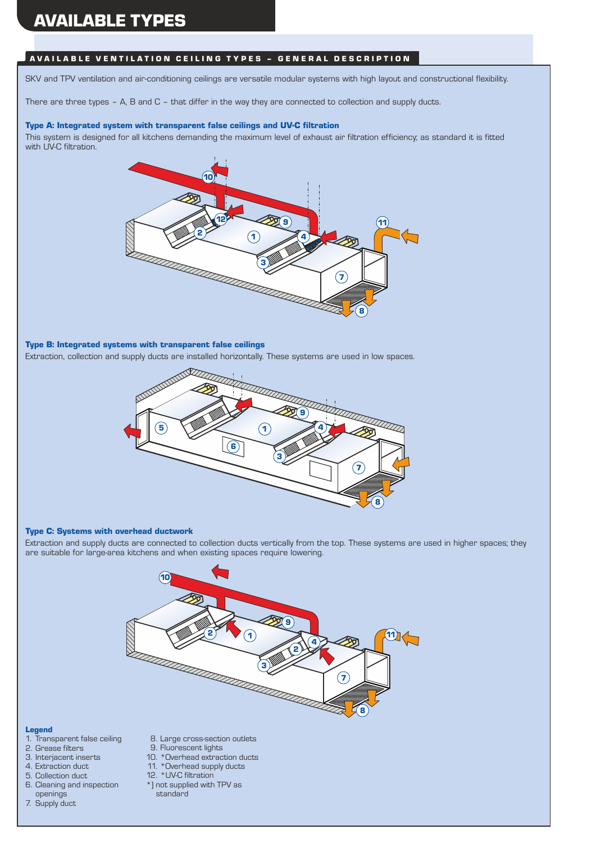# AVAILABLE TYPES

# AVAILABLE VENTILATION CEILING TYPES - GENERAL DESCRIPTION

SKV and TPV ventilation and air-conditioning ceilings are versatile modular systems with high layout and constructional flexibility.

There are three types – A, B and C – that differ in the way they are connected to collection and supply ducts.

# Type A: Integrated system with transparent false ceilings and UV-C filtration

This system is designed for all kitchens demanding the maximum level of exhaust air filtration efficiency; as standard it is fitted with UV-C filtration.



# Type B: Integrated systems with transparent false ceilings

Extraction, collection and supply ducts are installed horizontally. These systems are used in low spaces.



#### Type C: Systems with overhead ductwork

Extraction and supply ducts are connected to collection ducts vertically from the top. These systems are used in higher spaces; they are suitable for large-area kitchens and when existing spaces require lowering.



#### Legend

- 1. Transparent false ceiling
- 2. Grease filters
- 3. Interjacent inserts
- 4. Extraction duct
- 5. Collection duct
- 6. Cleaning and inspection openings
- 7. Supply duct
- 8. Large cross-section outlets
- 9. Fluorescent lights
	- 10. \*Overhead extraction ducts
	- 11. \*Overhead supply ducts 12. \*UV-C filtration
	-
	- \*) not supplied with TPV as standard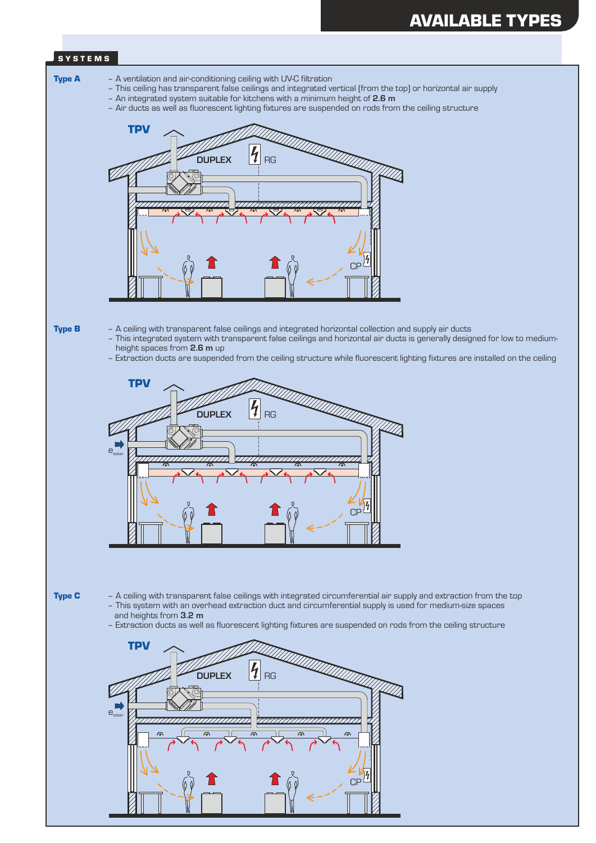### S Y S T E M S



 $\Gamma$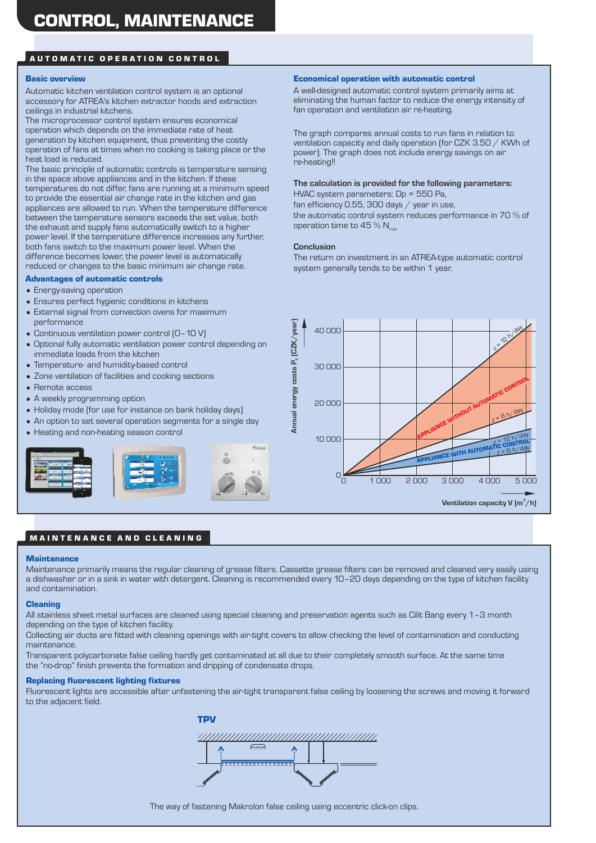## AUTOMATIC OPERATION CONTROL

#### Basic overview

Automatic kitchen ventilation control system is an optional accessory for ATREA's kitchen extractor hoods and extraction ceilings in industrial kitchens.

The microprocessor control system ensures economical operation which depends on the immediate rate of heat generation by kitchen equipment, thus preventing the costly operation of fans at times when no cooking is taking place or the heat load is reduced.

The basic principle of automatic controls is temperature sensing in the space above appliances and in the kitchen. If these temperatures do not differ, fans are running at a minimum speed to provide the essential air change rate in the kitchen and gas appliances are allowed to run. When the temperature difference between the temperature sensors exceeds the set value, both the exhaust and supply fans automatically switch to a higher power level. If the temperature difference increases any further, both fans switch to the maximum power level. When the difference becomes lower, the power level is automatically reduced or changes to the basic minimum air change rate.

#### Advantages of automatic controls

- Energy-saving operation
- Ensures perfect hygienic conditions in kitchens
- External signal from convection ovens for maximum performance
- Continuous ventilation power control (0–10 V)
- Optional fully automatic ventilation power control depending on immediate loads from the kitchen
- Temperature- and humidity-based control
- Zone ventilation of facilities and cooking sections
- Remote access
- A weekly programming option
- Holiday mode (for use for instance on bank holiday days)
- An option to set several operation segments for a single day
- Heating and non-heating season control





A well-designed automatic control system primarily aims at eliminating the human factor to reduce the energy intensity of fan operation and ventilation air re-heating.

The graph compares annual costs to run fans in relation to ventilation capacity and daily operation (for CZK 3.50 / KWh of power). The graph does not include energy savings on air re-heating!!

#### **The calculation is provided for the following parameters:**

HVAC system parameters: Dp = 550 Pa, fan efficiency 0.55, 300 days / year in use, the automatic control system reduces performance in 70 % of operation time to 45 %  $N_{\text{max}}$ 

#### **Conclusion**

The return on investment in an ATREA-type automatic control system generally tends to be within 1 year.



#### **MAINTENANCE AND CLEANING**

#### **Maintenance**

Maintenance primarily means the regular cleaning of grease filters. Cassette grease filters can be removed and cleaned very easily using a dishwasher or in a sink in water with detergent. Cleaning is recommended every 10–20 days depending on the type of kitchen facility and contamination.

#### Cleaning

All stainless sheet metal surfaces are cleaned using special cleaning and preservation agents such as Cilit Bang every 1–3 month depending on the type of kitchen facility.

Collecting air ducts are fitted with cleaning openings with air-tight covers to allow checking the level of contamination and conducting maintenance.

Transparent polycarbonate false ceiling hardly get contaminated at all due to their completely smooth surface. At the same time the "no-drop" finish prevents the formation and dripping of condensate drops.

#### Replacing fluorescent lighting fixtures

Fluorescent lights are accessible after unfastening the air-tight transparent false ceiling by loosening the screws and moving it forward to the adjacent field.



The way of fastening Makrolon false ceiling using eccentric click-on clips.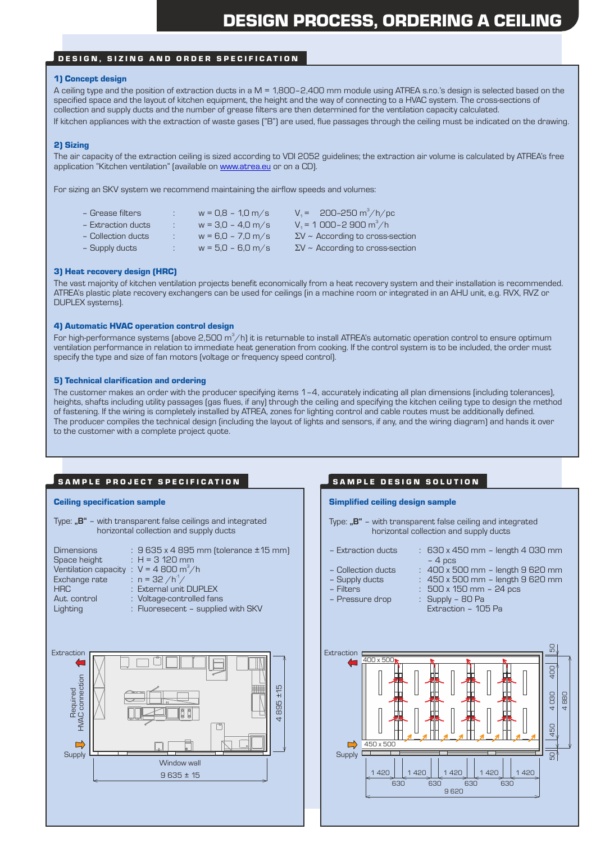### DESIGN, SIZING AND ORDER SPECIFICATION

#### 1) Concept design

A ceiling type and the position of extraction ducts in a M = 1,800–2,400 mm module using ATREA s.r.o.'s design is selected based on the specified space and the layout of kitchen equipment, the height and the way of connecting to a HVAC system. The cross-sections of collection and supply ducts and the number of grease filters are then determined for the ventilation capacity calculated. If kitchen appliances with the extraction of waste gases ("B") are used, flue passages through the ceiling must be indicated on the drawing.

#### 2) Sizing

The air capacity of the extraction ceiling is sized according to VDI 2052 guidelines; the extraction air volume is calculated by ATREA's free application "Kitchen ventilation" (available on **www.atrea.eu** or on a CD).

For sizing an SKV system we recommend maintaining the airflow speeds and volumes:

| – Grease filters   | ÷      | $w = 0.8 - 1.0$ m/s | $V_1 = 200 - 250 \text{ m}^3/\text{h/pc}$ |
|--------------------|--------|---------------------|-------------------------------------------|
| - Extraction ducts | $\sim$ | $w = 3.0 - 4.0$ m/s | $V_1$ = 1 000-2 900 m <sup>3</sup> /h     |
| - Collection ducts | ÷.     | $w = 6.0 - 7.0$ m/s | $\Sigma$ V ~ According to cross-section   |
| - Supply ducts     | ÷      | $w = 5.0 - 6.0$ m/s | $\Sigma$ V ~ According to cross-section   |
|                    |        |                     |                                           |

#### 3) Heat recovery design (HRC)

The vast majority of kitchen ventilation projects benefit economically from a heat recovery system and their installation is recommended. ATREA's plastic plate recovery exchangers can be used for ceilings (in a machine room or integrated in an AHU unit, e.g. RVX, RVZ or DUPLEX systems).

#### 4) Automatic HVAC operation control design

For high-performance systems (above 2,500 m $^3$ /h) it is returnable to install ATREA's automatic operation control to ensure optimum ventilation performance in relation to immediate heat generation from cooking. If the control system is to be included, the order must specify the type and size of fan motors (voltage or frequency speed control).

#### 5) Technical clarification and ordering

The customer makes an order with the producer specifying items 1–4, accurately indicating all plan dimensions (including tolerances), heights, shafts including utility passages (gas flues, if any) through the ceiling and specifying the kitchen ceiling type to design the method of fastening. If the wiring is completely installed by ATREA, zones for lighting control and cable routes must be additionally defined. The producer compiles the technical design (including the layout of lights and sensors, if any, and the wiring diagram) and hands it over to the customer with a complete project quote.

### SAMPLE PROJECT SPECIFICATION **SAMPLE DESIGN SOLUTION**

#### Ceiling specification sample

Type: "B" – with transparent false ceilings and integrated horizontal collection and supply ducts

| $: 9635 \times 4895$ mm (tolerance $\pm 15$ mm) |
|-------------------------------------------------|
| $H = 3120$ mm                                   |
| : $V = 4800 \text{ m}^3/\text{h}$               |
| : $n = 32 / h^1 /$                              |
| : External unit DUPLEX                          |
| : Voltage-controlled fans                       |
| : Fluoresecent - supplied with SKV              |
|                                                 |



#### Simplified ceiling design sample

- Type: "B" with transparent false ceiling and integrated horizontal collection and supply ducts
- Extraction ducts : 630 x 450 mm length 4 030 mm

 $\therefore$  Supply – 80 Pa

- $-4$  pcs
- Collection ducts : 400 x 500 mm length 9 620 mm  $\therefore$  450 x 500 mm – length 9 620 mm
- 
- 
- Filters : 500 x 150 mm 24 pcs
	- Extraction 105 Pa